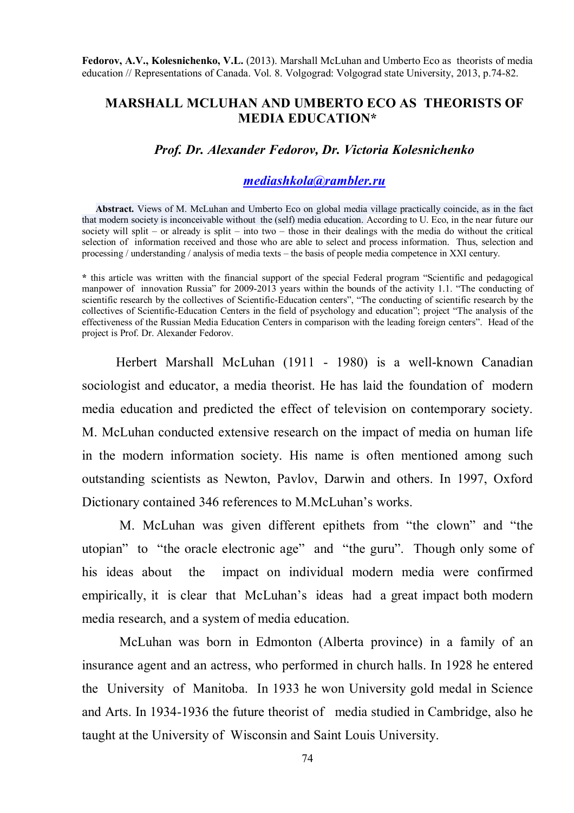**Fedorov, A.V., Kolesnichenko, V.L.** (2013). Marshall McLuhan and Umberto Eco as theorists of media education // Representations of Canada. Vol. 8. Volgograd: Volgograd state University, 2013, p.74-82.

## **MARSHALL MCLUHAN AND UMBERTO ECO AS THEORISTS OF MEDIA EDUCATION\***

## *Prof. Dr. Alexander Fedorov, Dr. Victoria Kolesnichenko*

## *mediashkola@rambler.ru*

**Abstract.** Views of M. McLuhan and Umberto Eco on global media village practically coincide, as in the fact that modern society is inconceivable without the (self) media education. According to U. Eco, in the near future our society will split – or already is split – into two – those in their dealings with the media do without the critical selection of information received and those who are able to select and process information. Thus, selection and processing / understanding / analysis of media texts – the basis of people media competence in XXI century.

**\*** this article was written with the financial support of the special Federal program "Scientific and pedagogical manpower of innovation Russia" for 2009-2013 years within the bounds of the activity 1.1. "The conducting of scientific research by the collectives of Scientific-Education centers", "The conducting of scientific research by the collectives of Scientific-Education Centers in the field of psychology and education"; project "The analysis of the effectiveness of the Russian Media Education Centers in comparison with the leading foreign centers". Head of the project is Prof. Dr. Alexander Fedorov.

Herbert Marshall McLuhan (1911 - 1980) is a well-known Canadian sociologist and educator, a media theorist. He has laid the foundation of modern media education and predicted the effect of television on contemporary society. M. McLuhan conducted extensive research on the impact of media on human life in the modern information society. His name is often mentioned among such outstanding scientists as Newton, Pavlov, Darwin and others. In 1997, Oxford Dictionary contained 346 references to M.McLuhan's works.

M. McLuhan was given different epithets from "the clown" and "the utopian" to "the oracle electronic age" and "the guru". Though only some of his ideas about the impact on individual modern media were confirmed empirically, it is clear that McLuhan's ideas had a great impact both modern media research, and a system of media education.

McLuhan was born in Edmonton (Alberta province) in a family of an insurance agent and an actress, who performed in church halls. In 1928 he entered the University of Manitoba. In 1933 he won University gold medal in Science and Arts. In 1934-1936 the future theorist of media studied in Cambridge, also he taught at the University of Wisconsin and Saint Louis University.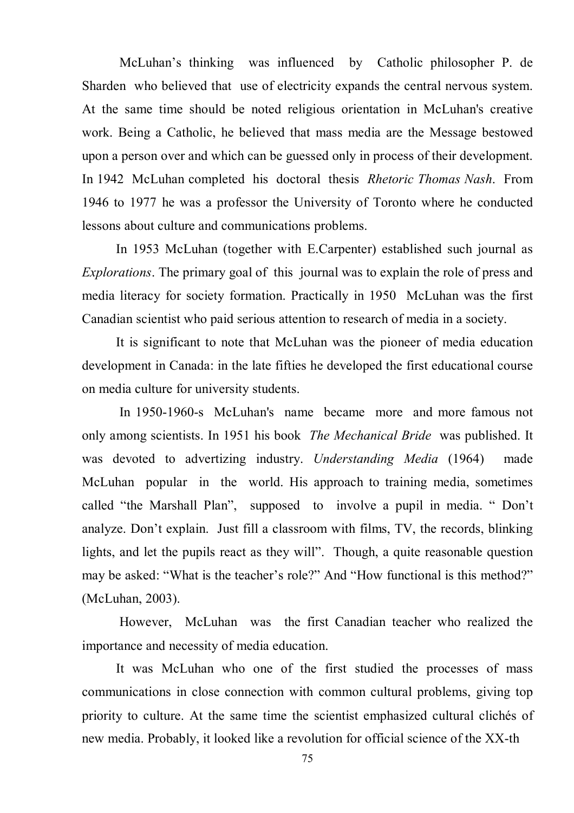McLuhan's thinking was influenced by Catholic philosopher P. de Sharden who believed that use of electricity expands the central nervous system. At the same time should be noted religious orientation in McLuhan's creative work. Being a Catholic, he believed that mass media are the Message bestowed upon a person over and which can be guessed only in process of their development. In 1942 McLuhan completed his doctoral thesis *Rhetoric Thomas Nash*. From 1946 to 1977 he was a professor the University of Toronto where he conducted lessons about culture and communications problems.

In 1953 McLuhan (together with E.Carpenter) established such journal as *Explorations*. The primary goal of this journal was to explain the role of press and media literacy for society formation. Practically in 1950 McLuhan was the first Canadian scientist who paid serious attention to research of media in a society.

It is significant to note that McLuhan was the pioneer of media education development in Canada: in the late fifties he developed the first educational course on media culture for university students.

In 1950-1960-s McLuhan's name became more and more famous not only among scientists. In 1951 his book *The Mechanical Bride* was published. It was devoted to advertizing industry. *Understanding Media* (1964) made McLuhan popular in the world. His approach to training media, sometimes called "the Marshall Plan", supposed to involve a pupil in media. " Don't analyze. Don't explain. Just fill a classroom with films, TV, the records, blinking lights, and let the pupils react as they will". Though, a quite reasonable question may be asked: "What is the teacher's role?" And "How functional is this method?" (McLuhan, 2003).

However, McLuhan was the first Canadian teacher who realized the importance and necessity of media education.

It was McLuhan who one of the first studied the processes of mass communications in close connection with common cultural problems, giving top priority to culture. At the same time the scientist emphasized cultural clichés of new media. Probably, it looked like a revolution for official science of the XX-th

75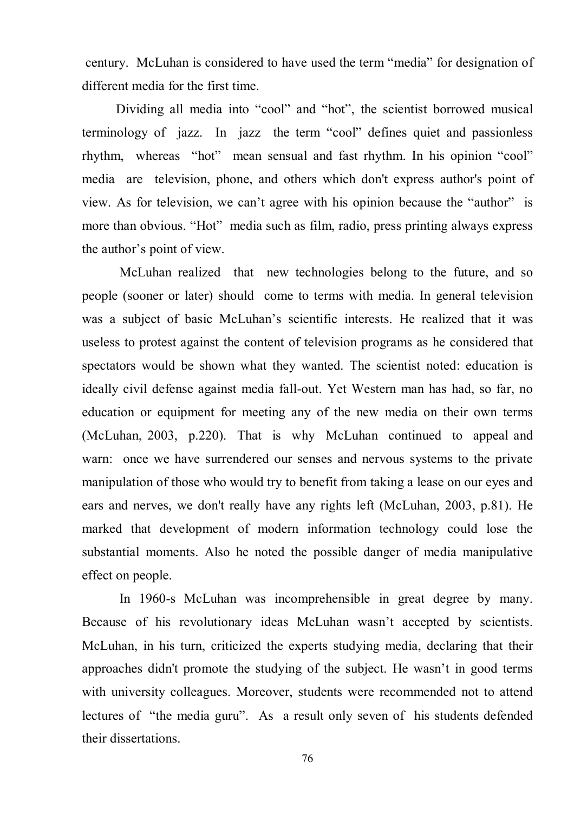century. McLuhan is considered to have used the term "media" for designation of different media for the first time.

Dividing all media into "cool" and "hot", the scientist borrowed musical terminology of jazz. In jazz the term "cool" defines quiet and passionless rhythm, whereas "hot" mean sensual and fast rhythm. In his opinion "cool" media are television, phone, and others which don't express author's point of view. As for television, we can't agree with his opinion because the "author" is more than obvious. "Hot" media such as film, radio, press printing always express the author's point of view.

McLuhan realized that new technologies belong to the future, and so people (sooner or later) should come to terms with media. In general television was a subject of basic McLuhan's scientific interests. He realized that it was useless to protest against the content of television programs as he considered that spectators would be shown what they wanted. The scientist noted: education is ideally civil defense against media fall-out. Yet Western man has had, so far, no education or equipment for meeting any of the new media on their own terms (McLuhan, 2003, p.220). That is why McLuhan continued to appeal and warn: once we have surrendered our senses and nervous systems to the private manipulation of those who would try to benefit from taking a lease on our eyes and ears and nerves, we don't really have any rights left (McLuhan, 2003, p.81). He marked that development of modern information technology could lose the substantial moments. Also he noted the possible danger of media manipulative effect on people.

In 1960-s McLuhan was incomprehensible in great degree by many. Because of his revolutionary ideas McLuhan wasn't accepted by scientists. McLuhan, in his turn, criticized the experts studying media, declaring that their approaches didn't promote the studying of the subject. He wasn't in good terms with university colleagues. Moreover, students were recommended not to attend lectures of "the media guru". As a result only seven of his students defended their dissertations.

76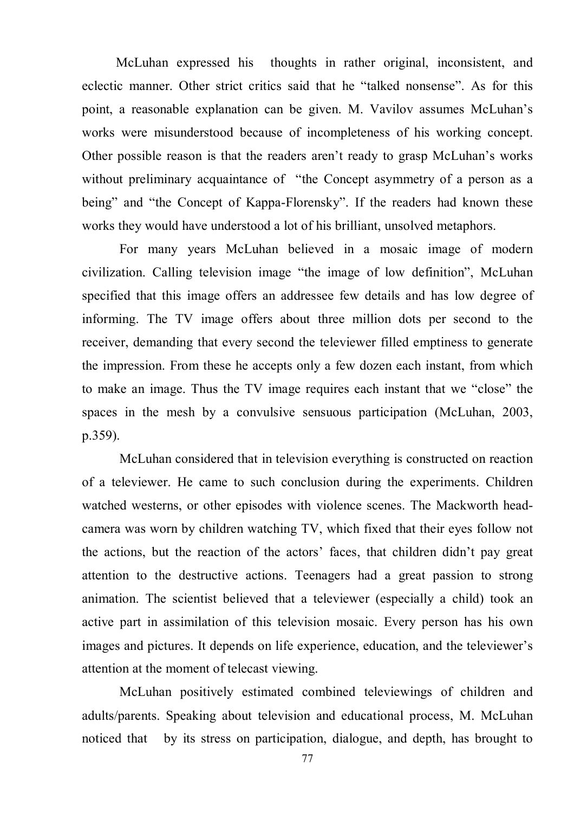McLuhan expressed his thoughts in rather original, inconsistent, and eclectic manner. Other strict critics said that he "talked nonsense". As for this point, a reasonable explanation can be given. M. Vavilov assumes McLuhan's works were misunderstood because of incompleteness of his working concept. Other possible reason is that the readers aren't ready to grasp McLuhan's works without preliminary acquaintance of "the Concept asymmetry of a person as a being" and "the Concept of Kappa-Florensky". If the readers had known these works they would have understood a lot of his brilliant, unsolved metaphors.

For many years McLuhan believed in a mosaic image of modern civilization. Calling television image "the image of low definition", McLuhan specified that this image offers an addressee few details and has low degree of informing. The TV image offers about three million dots per second to the receiver, demanding that every second the televiewer filled emptiness to generate the impression. From these he accepts only a few dozen each instant, from which to make an image. Thus the TV image requires each instant that we "close" the spaces in the mesh by a convulsive sensuous participation (McLuhan, 2003, p.359).

McLuhan considered that in television everything is constructed on reaction of a televiewer. He came to such conclusion during the experiments. Children watched westerns, or other episodes with violence scenes. The Mackworth headcamera was worn by children watching TV, which fixed that their eyes follow not the actions, but the reaction of the actors' faces, that children didn't pay great attention to the destructive actions. Teenagers had a great passion to strong animation. The scientist believed that a televiewer (especially a child) took an active part in assimilation of this television mosaic. Every person has his own images and pictures. It depends on life experience, education, and the televiewer's attention at the moment of telecast viewing.

McLuhan positively estimated combined televiewings of children and adults/parents. Speaking about television and educational process, M. McLuhan noticed that by its stress on participation, dialogue, and depth, has brought to

77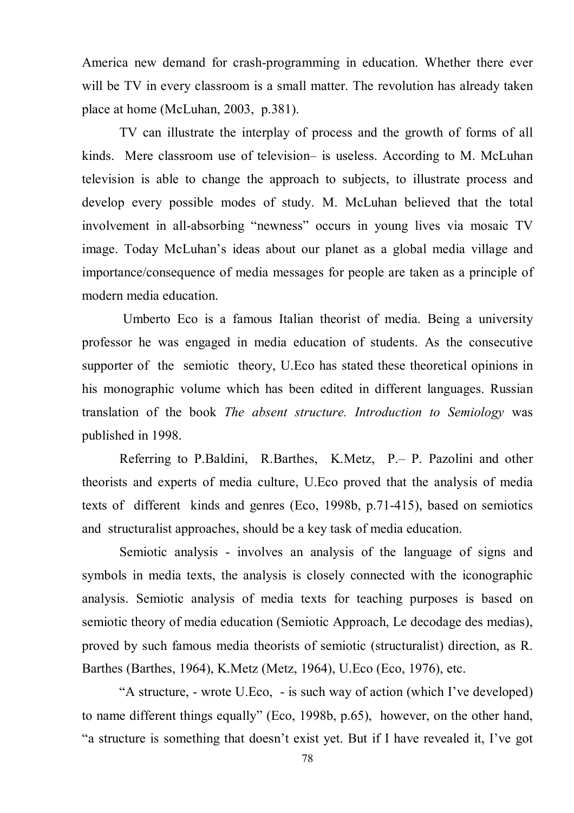America new demand for crash-programming in education. Whether there ever will be TV in every classroom is a small matter. The revolution has already taken place at home (McLuhan, 2003, p.381).

TV can illustrate the interplay of process and the growth of forms of all kinds. Mere classroom use of television– is useless. According to M. McLuhan television is able to change the approach to subjects, to illustrate process and develop every possible modes of study. M. McLuhan believed that the total involvement in all-absorbing "newness" occurs in young lives via mosaic TV image. Today McLuhan's ideas about our planet as a global media village and importance/consequence of media messages for people are taken as a principle of modern media education.

Umberto Eco is a famous Italian theorist of media. Being a university professor he was engaged in media education of students. As the consecutive supporter of the semiotic theory, U.Eco has stated these theoretical opinions in his monographic volume which has been edited in different languages. Russian translation of the book *The absent structure. Introduction to Semiology* was published in 1998.

Referring to P.Baldini, R.Barthes, K.Metz, P.– P. Pazolini and other theorists and experts of media culture, U.Eco proved that the analysis of media texts of different kinds and genres (Eco, 1998b, p.71-415), based on semiotics and structuralist approaches, should be a key task of media education.

Semiotic analysis - involves an analysis of the language of signs and symbols in media texts, the analysis is closely connected with the iconographic analysis. Semiotic analysis of media texts for teaching purposes is based on semiotic theory of media education (Semiotic Approach, Le decodage des medias), proved by such famous media theorists of semiotic (structuralist) direction, as R. Barthes (Barthes, 1964), K.Metz (Metz, 1964), U.Eco (Eco, 1976), etc.

"A structure, - wrote U.Eco, - is such way of action (which I've developed) to name different things equally" (Eco, 1998b, p.65), however, on the other hand, "a structure is something that doesn't exist yet. But if I have revealed it, I've got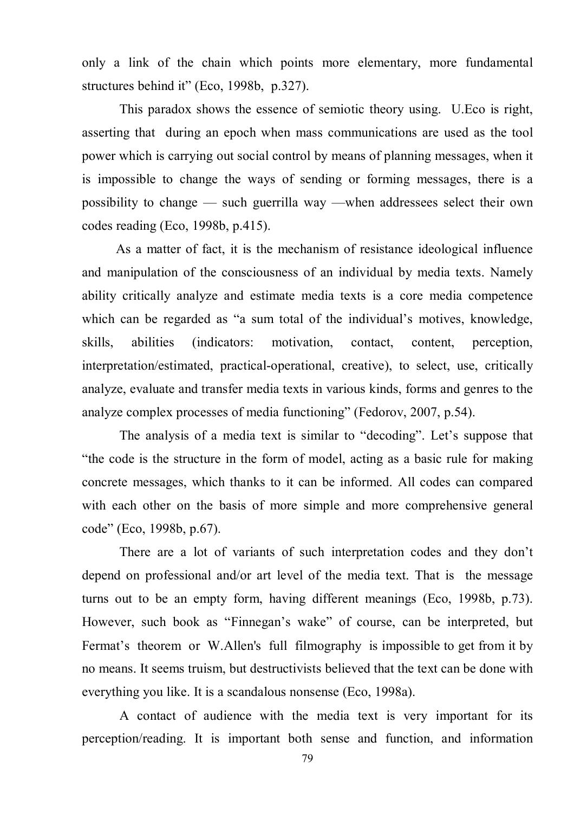only a link of the chain which points more elementary, more fundamental structures behind it" (Eco, 1998b, p.327).

This paradox shows the essence of semiotic theory using. U.Eco is right, asserting that during an epoch when mass communications are used as the tool power which is carrying out social control by means of planning messages, when it is impossible to change the ways of sending or forming messages, there is a possibility to change — such guerrilla way —when addressees select their own codes reading (Eco, 1998b, p.415).

As a matter of fact, it is the mechanism of resistance ideological influence and manipulation of the consciousness of an individual by media texts. Namely ability critically analyze and estimate media texts is a core media competence which can be regarded as "a sum total of the individual's motives, knowledge, skills, abilities (indicators: motivation, contact, content, perception, interpretation/estimated, practical-operational, creative), to select, use, critically analyze, evaluate and transfer media texts in various kinds, forms and genres to the analyze complex processes of media functioning" (Fedorov, 2007, p.54).

The analysis of a media text is similar to "decoding". Let's suppose that "the code is the structure in the form of model, acting as a basic rule for making concrete messages, which thanks to it can be informed. All codes can compared with each other on the basis of more simple and more comprehensive general code" (Eco, 1998b, p.67).

There are a lot of variants of such interpretation codes and they don't depend on professional and/or art level of the media text. That is the message turns out to be an empty form, having different meanings (Eco, 1998b, p.73). However, such book as "Finnegan's wake" of course, can be interpreted, but Fermat's theorem or W.Allen's full filmography is impossible to get from it by no means. It seems truism, but destructivists believed that the text can be done with everything you like. It is a scandalous nonsense (Eco, 1998a).

A contact of audience with the media text is very important for its perception/reading. It is important both sense and function, and information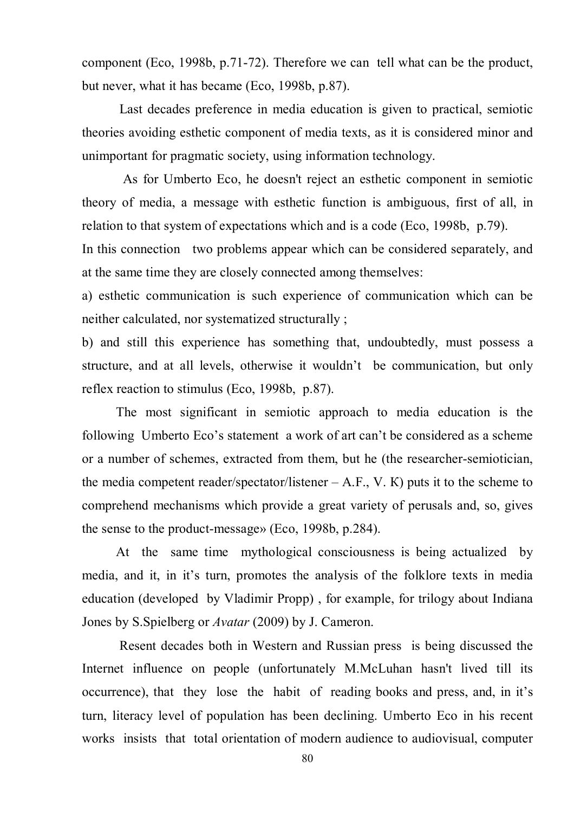component (Eco, 1998b, p.71-72). Therefore we can tell what can be the product, but never, what it has became (Eco, 1998b, p.87).

Last decades preference in media education is given to practical, semiotic theories avoiding esthetic component of media texts, as it is considered minor and unimportant for pragmatic society, using information technology.

As for Umberto Eco, he doesn't reject an esthetic component in semiotic theory of media, a message with esthetic function is ambiguous, first of all, in relation to that system of expectations which and is a code (Eco, 1998b, p.79).

In this connection two problems appear which can be considered separately, and at the same time they are closely connected among themselves:

a) esthetic communication is such experience of communication which can be neither calculated, nor systematized structurally ;

b) and still this experience has something that, undoubtedly, must possess a structure, and at all levels, otherwise it wouldn't be communication, but only reflex reaction to stimulus (Eco, 1998b, p.87).

The most significant in semiotic approach to media education is the following Umberto Eco's statement a work of art can't be considered as a scheme or a number of schemes, extracted from them, but he (the researcher-semiotician, the media competent reader/spectator/listener  $- A.F., V. K$ ) puts it to the scheme to comprehend mechanisms which provide a great variety of perusals and, so, gives the sense to the product-message» (Eco, 1998b, p.284).

At the same time mythological consciousness is being actualized by media, and it, in it's turn, promotes the analysis of the folklore texts in media education (developed by Vladimir Propp) , for example, for trilogy about Indiana Jones by S.Spielberg or *Avatar* (2009) by J. Cameron.

Resent decades both in Western and Russian press is being discussed the Internet influence on people (unfortunately M.McLuhan hasn't lived till its occurrence), that they lose the habit of reading books and press, and, in it's turn, literacy level of population has been declining. Umberto Eco in his recent works insists that total orientation of modern audience to audiovisual, computer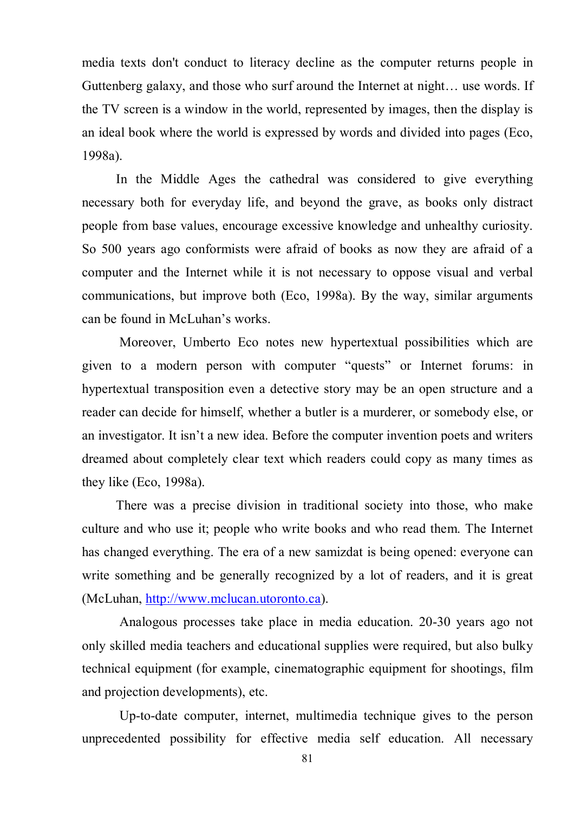media texts don't conduct to literacy decline as the computer returns people in Guttenberg galaxy, and those who surf around the Internet at night… use words. If the TV screen is a window in the world, represented by images, then the display is an ideal book where the world is expressed by words and divided into pages (Eco, 1998a).

In the Middle Ages the cathedral was considered to give everything necessary both for everyday life, and beyond the grave, as books only distract people from base values, encourage excessive knowledge and unhealthy curiosity. So 500 years ago conformists were afraid of books as now they are afraid of a computer and the Internet while it is not necessary to oppose visual and verbal communications, but improve both (Eco, 1998a). By the way, similar arguments can be found in McLuhan's works.

Moreover, Umberto Eco notes new hypertextual possibilities which are given to a modern person with computer "quests" or Internet forums: in hypertextual transposition even a detective story may be an open structure and a reader can decide for himself, whether a butler is a murderer, or somebody else, or an investigator. It isn't a new idea. Before the computer invention poets and writers dreamed about completely clear text which readers could copy as many times as they like (Eco, 1998a).

There was a precise division in traditional society into those, who make culture and who use it; people who write books and who read them. The Internet has changed everything. The era of a new samizdat is being opened: everyone can write something and be generally recognized by a lot of readers, and it is great (McLuhan, http://www.mclucan.utoronto.ca).

Analogous processes take place in media education. 20-30 years ago not only skilled media teachers and educational supplies were required, but also bulky technical equipment (for example, cinematographic equipment for shootings, film and projection developments), etc.

Up-to-date computer, internet, multimedia technique gives to the person unprecedented possibility for effective media self education. All necessary